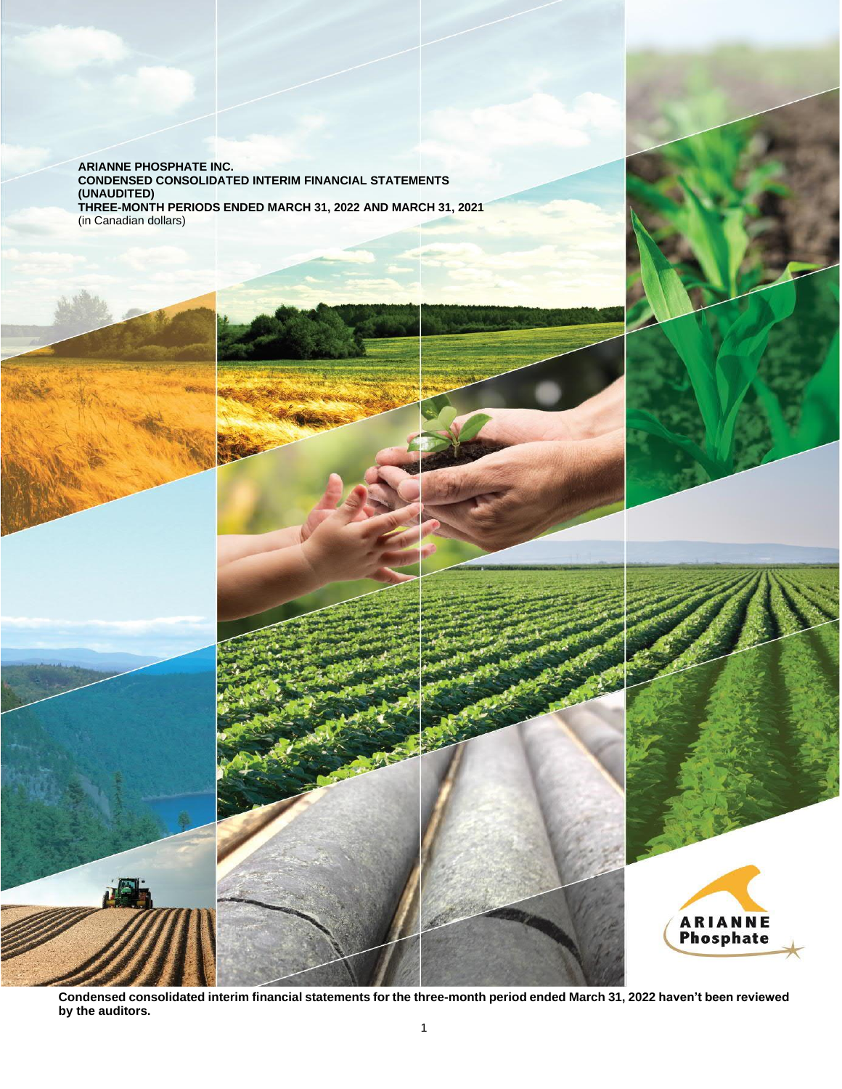**ARIANNE PHOSPHATE INC. CONDENSED CONSOLIDATED INTERIM FINANCIAL STATEMENTS (UNAUDITED) THREE-MONTH PERIODS ENDED MARCH 31, 2022 AND MARCH 31, 2021** (in Canadian dollars)



**Condensed consolidated interim financial statements for the three-month period ended March 31, 2022 haven't been reviewed by the auditors.**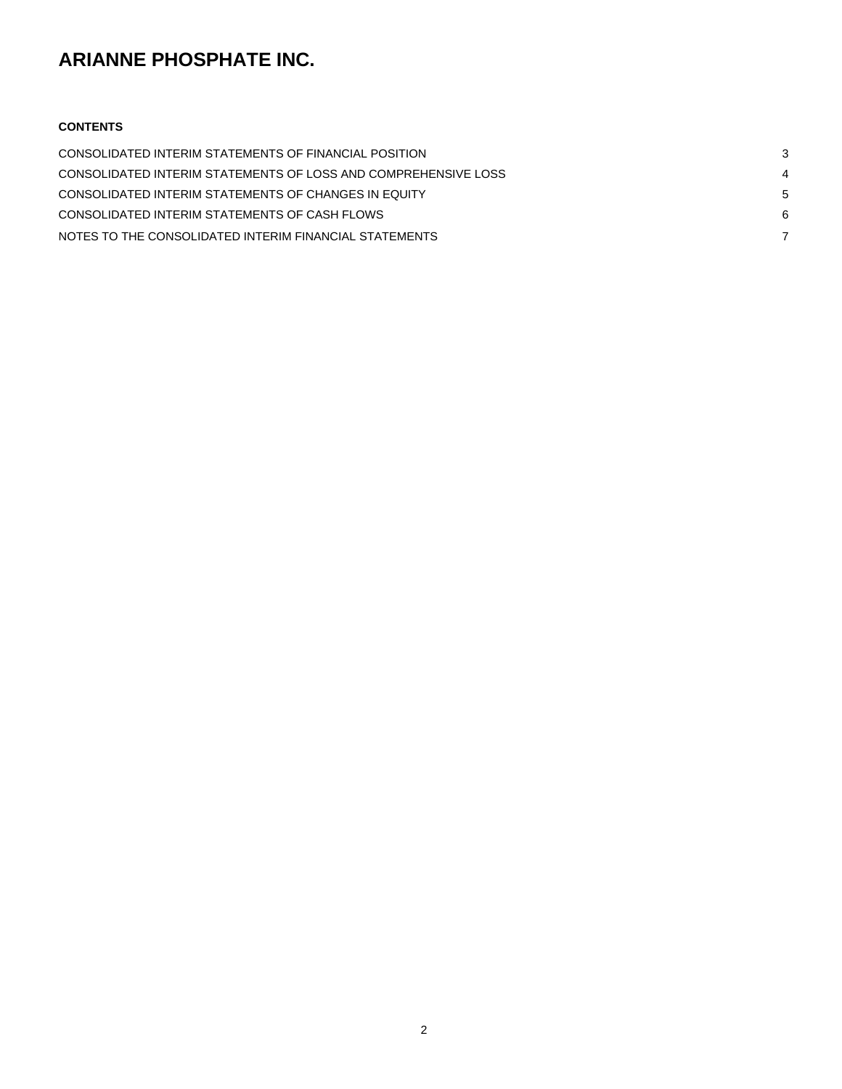## **CONTENTS**

| CONSOLIDATED INTERIM STATEMENTS OF FINANCIAL POSITION          |  |
|----------------------------------------------------------------|--|
| CONSOLIDATED INTERIM STATEMENTS OF LOSS AND COMPREHENSIVE LOSS |  |
| CONSOLIDATED INTERIM STATEMENTS OF CHANGES IN EQUITY           |  |
| CONSOLIDATED INTERIM STATEMENTS OF CASH FLOWS                  |  |
| NOTES TO THE CONSOLIDATED INTERIM FINANCIAL STATEMENTS         |  |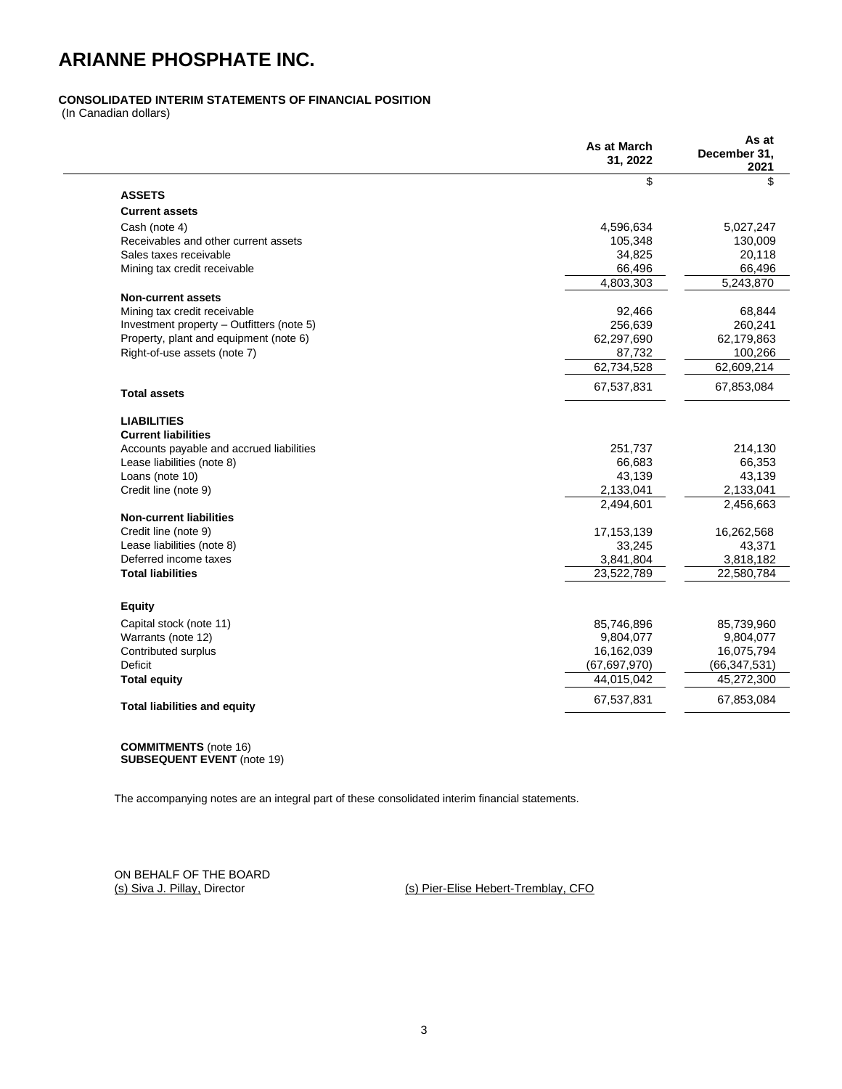## <span id="page-2-0"></span>**CONSOLIDATED INTERIM STATEMENTS OF FINANCIAL POSITION**

(In Canadian dollars)

|                                           | As at March<br>31, 2022 | As at<br>December 31.<br>2021 |
|-------------------------------------------|-------------------------|-------------------------------|
|                                           | \$                      | \$                            |
| <b>ASSETS</b>                             |                         |                               |
| <b>Current assets</b>                     |                         |                               |
| Cash (note 4)                             | 4,596,634               | 5,027,247                     |
| Receivables and other current assets      | 105,348                 | 130,009                       |
| Sales taxes receivable                    | 34,825                  | 20,118                        |
| Mining tax credit receivable              | 66,496                  | 66,496                        |
|                                           | 4.803.303               | 5.243.870                     |
| <b>Non-current assets</b>                 |                         |                               |
| Mining tax credit receivable              | 92,466                  | 68,844                        |
| Investment property - Outfitters (note 5) | 256,639                 | 260,241                       |
| Property, plant and equipment (note 6)    | 62,297,690              | 62,179,863                    |
| Right-of-use assets (note 7)              | 87,732                  | 100,266                       |
|                                           | 62,734,528              | 62,609,214                    |
| <b>Total assets</b>                       | 67,537,831              | 67,853,084                    |
| <b>LIABILITIES</b>                        |                         |                               |
| <b>Current liabilities</b>                |                         |                               |
| Accounts payable and accrued liabilities  | 251,737                 | 214,130                       |
| Lease liabilities (note 8)                | 66,683                  | 66,353                        |
| Loans (note 10)                           | 43,139                  | 43,139                        |
| Credit line (note 9)                      | 2,133,041               | 2,133,041                     |
|                                           | 2,494,601               | 2,456,663                     |
| <b>Non-current liabilities</b>            |                         |                               |
| Credit line (note 9)                      | 17, 153, 139            | 16,262,568                    |
| Lease liabilities (note 8)                | 33,245                  | 43,371                        |
| Deferred income taxes                     | 3,841,804               | 3,818,182                     |
| <b>Total liabilities</b>                  | 23,522,789              | 22,580,784                    |
| <b>Equity</b>                             |                         |                               |
| Capital stock (note 11)                   | 85,746,896              | 85,739,960                    |
| Warrants (note 12)                        | 9,804,077               | 9,804,077                     |
| Contributed surplus                       | 16,162,039              | 16,075,794                    |
| Deficit                                   | (67, 697, 970)          | (66, 347, 531)                |
| <b>Total equity</b>                       | 44.015.042              | 45,272,300                    |
| <b>Total liabilities and equity</b>       | 67,537,831              | 67,853,084                    |
|                                           |                         |                               |

**COMMITMENTS** (note 16) **SUBSEQUENT EVENT** (note 19)

The accompanying notes are an integral part of these consolidated interim financial statements.

ON BEHALF OF THE BOARD<br>(s) Siva J. Pillay, Director

(s) Pier-Elise Hebert-Tremblay, CFO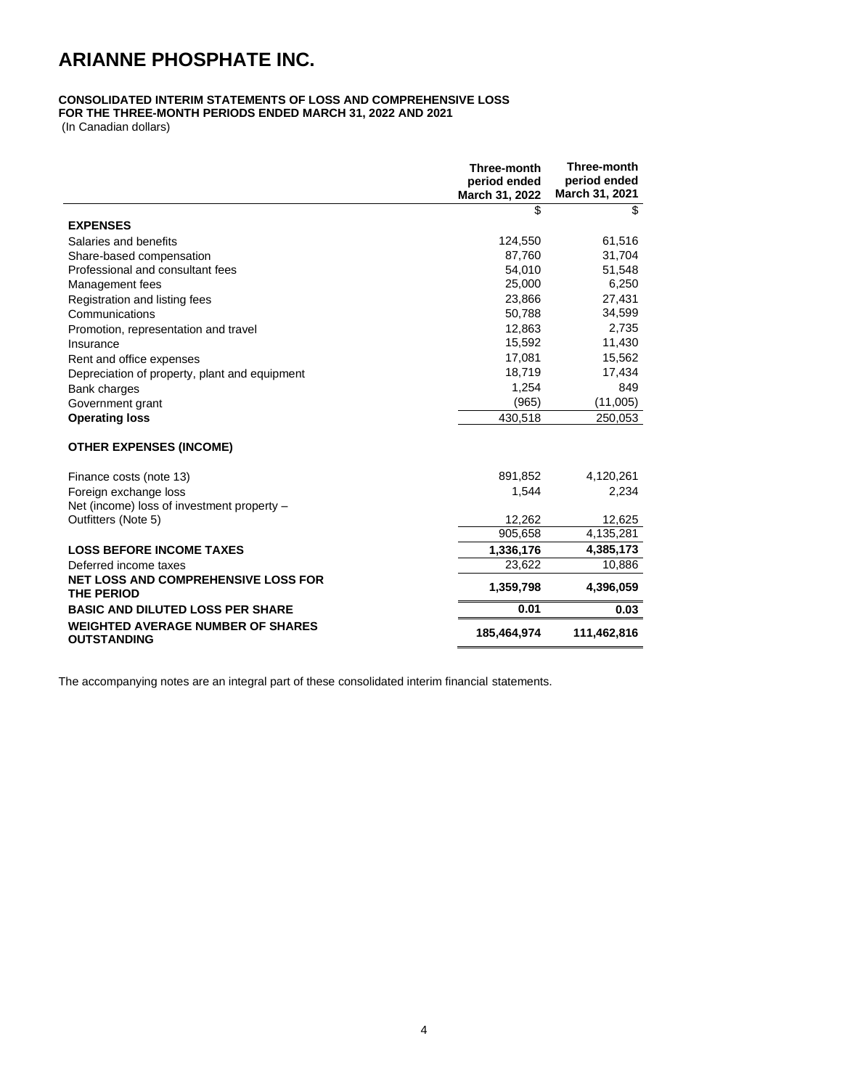## <span id="page-3-0"></span>**CONSOLIDATED INTERIM STATEMENTS OF LOSS AND COMPREHENSIVE LOSS**

**FOR THE THREE-MONTH PERIODS ENDED MARCH 31, 2022 AND 2021**

(In Canadian dollars)

|                                                                 | Three-month<br>period ended<br>March 31, 2022 | Three-month<br>period ended<br>March 31, 2021 |
|-----------------------------------------------------------------|-----------------------------------------------|-----------------------------------------------|
|                                                                 | \$                                            | \$                                            |
| <b>EXPENSES</b>                                                 |                                               |                                               |
| Salaries and benefits                                           | 124,550                                       | 61,516                                        |
| Share-based compensation                                        | 87,760                                        | 31,704                                        |
| Professional and consultant fees                                | 54,010                                        | 51,548                                        |
| Management fees                                                 | 25,000                                        | 6,250                                         |
| Registration and listing fees                                   | 23,866                                        | 27,431                                        |
| Communications                                                  | 50,788                                        | 34,599                                        |
| Promotion, representation and travel                            | 12,863                                        | 2,735                                         |
| Insurance                                                       | 15,592                                        | 11,430                                        |
| Rent and office expenses                                        | 17,081                                        | 15,562                                        |
| Depreciation of property, plant and equipment                   | 18,719                                        | 17,434                                        |
| <b>Bank charges</b>                                             | 1,254                                         | 849                                           |
| Government grant                                                | (965)                                         | (11,005)                                      |
| <b>Operating loss</b>                                           | 430,518                                       | 250,053                                       |
| <b>OTHER EXPENSES (INCOME)</b>                                  |                                               |                                               |
| Finance costs (note 13)                                         | 891,852                                       | 4,120,261                                     |
| Foreign exchange loss                                           | 1,544                                         | 2,234                                         |
| Net (income) loss of investment property -                      |                                               |                                               |
| Outfitters (Note 5)                                             | 12,262                                        | 12,625                                        |
|                                                                 | 905,658                                       | 4,135,281                                     |
| <b>LOSS BEFORE INCOME TAXES</b>                                 | 1,336,176                                     | 4,385,173                                     |
| Deferred income taxes                                           | 23,622                                        | 10,886                                        |
| <b>NET LOSS AND COMPREHENSIVE LOSS FOR</b><br><b>THE PERIOD</b> | 1,359,798                                     | 4,396,059                                     |
| <b>BASIC AND DILUTED LOSS PER SHARE</b>                         | 0.01                                          | 0.03                                          |
| <b>WEIGHTED AVERAGE NUMBER OF SHARES</b><br><b>OUTSTANDING</b>  | 185,464,974                                   | 111,462,816                                   |

The accompanying notes are an integral part of these consolidated interim financial statements.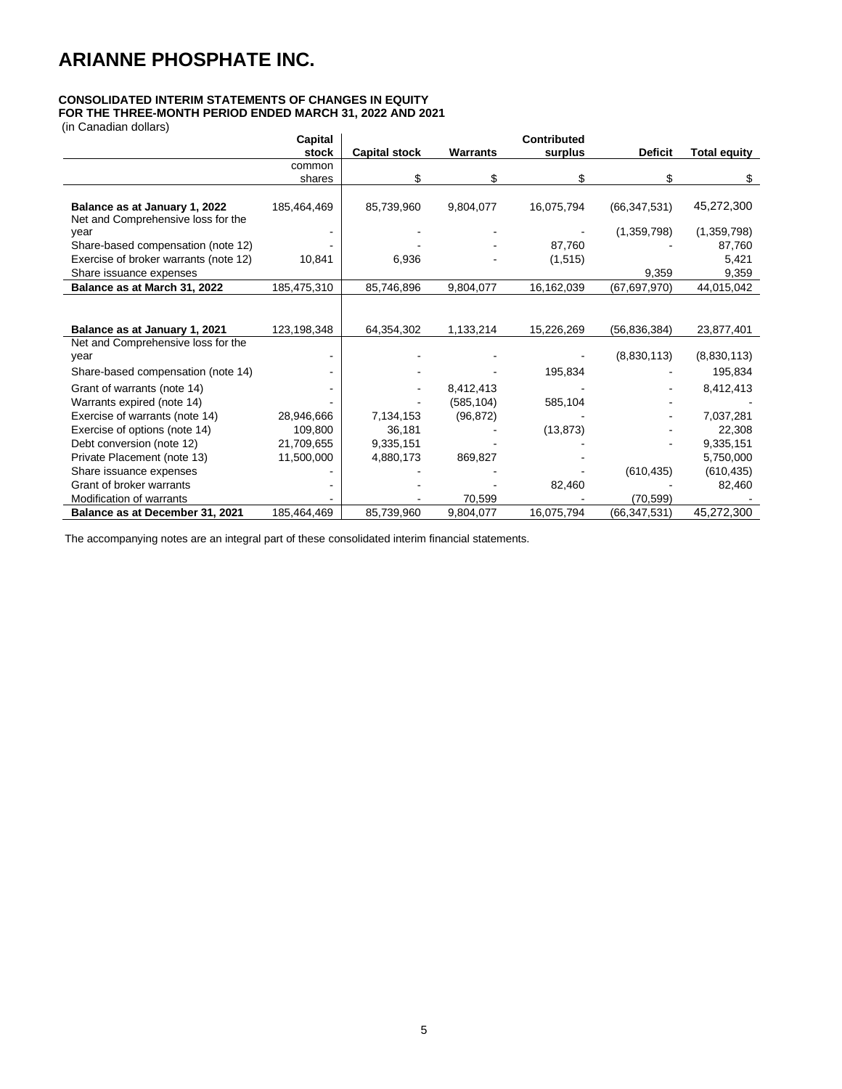## <span id="page-4-0"></span>**CONSOLIDATED INTERIM STATEMENTS OF CHANGES IN EQUITY**

**FOR THE THREE-MONTH PERIOD ENDED MARCH 31, 2022 AND 2021**

(in Canadian dollars)

| (III Ganduldi) uulidi S)                                            | Capital     |                      |                 | <b>Contributed</b> |                |                     |
|---------------------------------------------------------------------|-------------|----------------------|-----------------|--------------------|----------------|---------------------|
|                                                                     | stock       | <b>Capital stock</b> | <b>Warrants</b> | surplus            | <b>Deficit</b> | <b>Total equity</b> |
|                                                                     | common      |                      |                 |                    |                |                     |
|                                                                     | shares      | \$                   | \$              | \$                 | \$             | \$                  |
| Balance as at January 1, 2022<br>Net and Comprehensive loss for the | 185,464,469 | 85,739,960           | 9,804,077       | 16,075,794         | (66, 347, 531) | 45,272,300          |
| year                                                                |             |                      |                 |                    | (1,359,798)    | (1,359,798)         |
| Share-based compensation (note 12)                                  |             |                      |                 | 87,760             |                | 87,760              |
| Exercise of broker warrants (note 12)                               | 10,841      | 6,936                |                 | (1, 515)           |                | 5,421               |
| Share issuance expenses                                             |             |                      |                 |                    | 9,359          | 9,359               |
| Balance as at March 31, 2022                                        | 185,475,310 | 85,746,896           | 9,804,077       | 16,162,039         | (67, 697, 970) | 44,015,042          |
| Balance as at January 1, 2021                                       | 123,198,348 | 64,354,302           | 1,133,214       | 15,226,269         | (56, 836, 384) | 23,877,401          |
| Net and Comprehensive loss for the<br>year                          |             |                      |                 |                    | (8,830,113)    | (8,830,113)         |
| Share-based compensation (note 14)                                  |             |                      |                 | 195,834            |                | 195,834             |
| Grant of warrants (note 14)                                         |             |                      | 8,412,413       |                    |                | 8,412,413           |
| Warrants expired (note 14)                                          |             |                      | (585, 104)      | 585,104            |                |                     |
| Exercise of warrants (note 14)                                      | 28,946,666  | 7,134,153            | (96, 872)       |                    |                | 7,037,281           |
| Exercise of options (note 14)                                       | 109,800     | 36,181               |                 | (13, 873)          |                | 22,308              |
| Debt conversion (note 12)                                           | 21,709,655  | 9,335,151            |                 |                    |                | 9,335,151           |
| Private Placement (note 13)                                         | 11,500,000  | 4,880,173            | 869,827         |                    |                | 5,750,000           |
| Share issuance expenses                                             |             |                      |                 |                    | (610, 435)     | (610, 435)          |
| Grant of broker warrants                                            |             |                      |                 | 82,460             |                | 82,460              |
| <b>Modification of warrants</b>                                     |             |                      | 70,599          |                    | (70.599)       |                     |
| Balance as at December 31, 2021                                     | 185,464,469 | 85.739.960           | 9,804,077       | 16.075.794         | (66, 347, 531) | 45,272,300          |

The accompanying notes are an integral part of these consolidated interim financial statements.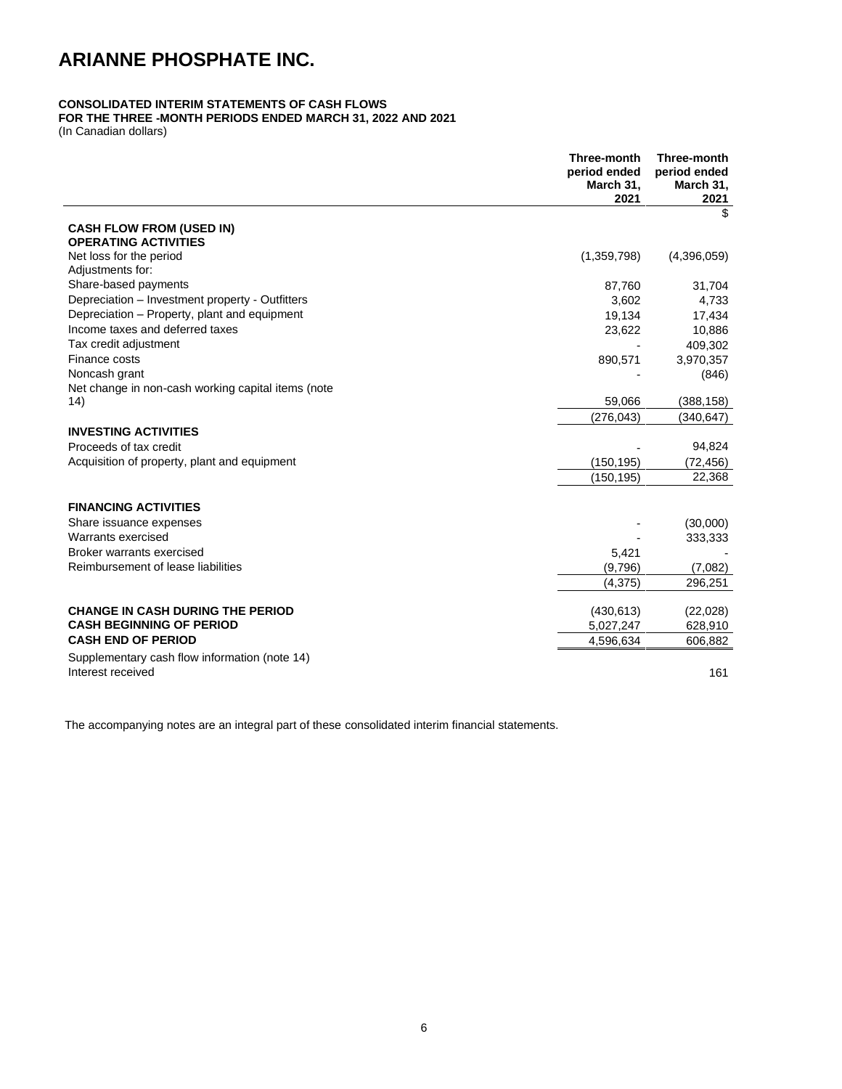## <span id="page-5-0"></span>**CONSOLIDATED INTERIM STATEMENTS OF CASH FLOWS**

## **FOR THE THREE -MONTH PERIODS ENDED MARCH 31, 2022 AND 2021**

(In Canadian dollars)

|                                                    | Three-month<br>period ended<br>March 31,<br>2021 | Three-month<br>period ended<br>March 31,<br>2021 |
|----------------------------------------------------|--------------------------------------------------|--------------------------------------------------|
|                                                    |                                                  | \$                                               |
| <b>CASH FLOW FROM (USED IN)</b>                    |                                                  |                                                  |
| <b>OPERATING ACTIVITIES</b>                        |                                                  |                                                  |
| Net loss for the period                            | (1,359,798)                                      | (4,396,059)                                      |
| Adjustments for:                                   |                                                  |                                                  |
| Share-based payments                               | 87,760                                           | 31,704                                           |
| Depreciation - Investment property - Outfitters    | 3,602                                            | 4,733                                            |
| Depreciation - Property, plant and equipment       | 19,134                                           | 17,434                                           |
| Income taxes and deferred taxes                    | 23,622                                           | 10,886                                           |
| Tax credit adjustment                              |                                                  | 409,302                                          |
| Finance costs                                      | 890,571                                          | 3,970,357                                        |
| Noncash grant                                      |                                                  | (846)                                            |
| Net change in non-cash working capital items (note |                                                  |                                                  |
| (14)                                               | 59,066                                           | (388, 158)                                       |
|                                                    | (276, 043)                                       | (340,647)                                        |
| <b>INVESTING ACTIVITIES</b>                        |                                                  |                                                  |
| Proceeds of tax credit                             |                                                  | 94,824                                           |
| Acquisition of property, plant and equipment       | (150, 195)                                       | (72, 456)                                        |
|                                                    | (150, 195)                                       | 22,368                                           |
|                                                    |                                                  |                                                  |
| <b>FINANCING ACTIVITIES</b>                        |                                                  |                                                  |
| Share issuance expenses                            |                                                  | (30,000)                                         |
| Warrants exercised                                 |                                                  | 333,333                                          |
| Broker warrants exercised                          | 5,421                                            |                                                  |
| Reimbursement of lease liabilities                 | (9,796)                                          | (7,082)                                          |
|                                                    | (4,375)                                          | 296,251                                          |
|                                                    |                                                  |                                                  |
| <b>CHANGE IN CASH DURING THE PERIOD</b>            | (430, 613)                                       | (22,028)                                         |
| <b>CASH BEGINNING OF PERIOD</b>                    | 5,027,247                                        | 628,910                                          |
| <b>CASH END OF PERIOD</b>                          | 4,596,634                                        | 606,882                                          |
| Supplementary cash flow information (note 14)      |                                                  |                                                  |
| Interest received                                  |                                                  | 161                                              |
|                                                    |                                                  |                                                  |

The accompanying notes are an integral part of these consolidated interim financial statements.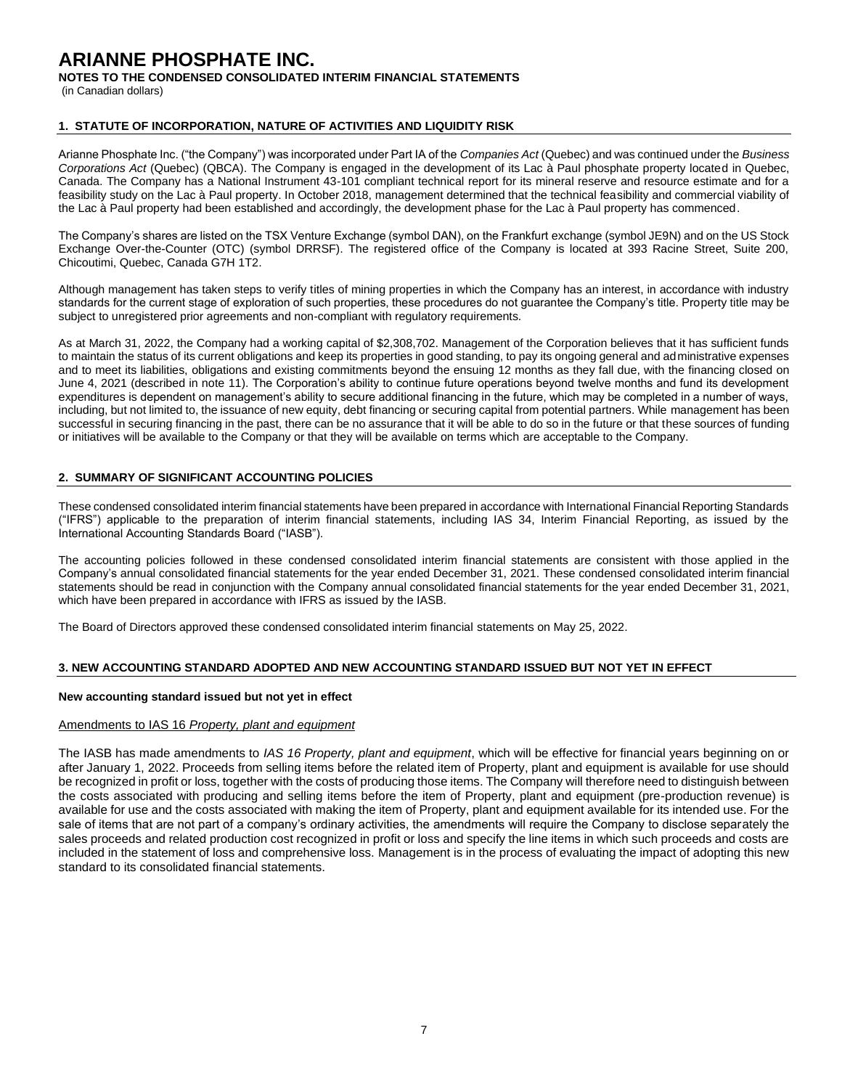**NOTES TO THE CONDENSED CONSOLIDATED INTERIM FINANCIAL STATEMENTS**

(in Canadian dollars)

### **1. STATUTE OF INCORPORATION, NATURE OF ACTIVITIES AND LIQUIDITY RISK**

Arianne Phosphate Inc. ("the Company") was incorporated under Part IA of the *Companies Act* (Quebec) and was continued under the *Business Corporations Act* (Quebec) (QBCA). The Company is engaged in the development of its Lac à Paul phosphate property located in Quebec, Canada. The Company has a National Instrument 43-101 compliant technical report for its mineral reserve and resource estimate and for a feasibility study on the Lac à Paul property. In October 2018, management determined that the technical feasibility and commercial viability of the Lac à Paul property had been established and accordingly, the development phase for the Lac à Paul property has commenced.

The Company's shares are listed on the TSX Venture Exchange (symbol DAN), on the Frankfurt exchange (symbol JE9N) and on the US Stock Exchange Over-the-Counter (OTC) (symbol DRRSF). The registered office of the Company is located at 393 Racine Street, Suite 200, Chicoutimi, Quebec, Canada G7H 1T2.

Although management has taken steps to verify titles of mining properties in which the Company has an interest, in accordance with industry standards for the current stage of exploration of such properties, these procedures do not guarantee the Company's title. Property title may be subject to unregistered prior agreements and non-compliant with regulatory requirements.

As at March 31, 2022, the Company had a working capital of \$2,308,702. Management of the Corporation believes that it has sufficient funds to maintain the status of its current obligations and keep its properties in good standing, to pay its ongoing general and administrative expenses and to meet its liabilities, obligations and existing commitments beyond the ensuing 12 months as they fall due, with the financing closed on June 4, 2021 (described in note 11). The Corporation's ability to continue future operations beyond twelve months and fund its development expenditures is dependent on management's ability to secure additional financing in the future, which may be completed in a number of ways, including, but not limited to, the issuance of new equity, debt financing or securing capital from potential partners. While management has been successful in securing financing in the past, there can be no assurance that it will be able to do so in the future or that these sources of funding or initiatives will be available to the Company or that they will be available on terms which are acceptable to the Company.

## **2. SUMMARY OF SIGNIFICANT ACCOUNTING POLICIES**

These condensed consolidated interim financial statements have been prepared in accordance with International Financial Reporting Standards ("IFRS") applicable to the preparation of interim financial statements, including IAS 34, Interim Financial Reporting, as issued by the International Accounting Standards Board ("IASB").

The accounting policies followed in these condensed consolidated interim financial statements are consistent with those applied in the Company's annual consolidated financial statements for the year ended December 31, 2021. These condensed consolidated interim financial statements should be read in conjunction with the Company annual consolidated financial statements for the year ended December 31, 2021, which have been prepared in accordance with IFRS as issued by the IASB.

The Board of Directors approved these condensed consolidated interim financial statements on May 25, 2022.

### **3. NEW ACCOUNTING STANDARD ADOPTED AND NEW ACCOUNTING STANDARD ISSUED BUT NOT YET IN EFFECT**

#### **New accounting standard issued but not yet in effect**

### Amendments to IAS 16 *Property, plant and equipment*

The IASB has made amendments to *IAS 16 Property, plant and equipment*, which will be effective for financial years beginning on or after January 1, 2022. Proceeds from selling items before the related item of Property, plant and equipment is available for use should be recognized in profit or loss, together with the costs of producing those items. The Company will therefore need to distinguish between the costs associated with producing and selling items before the item of Property, plant and equipment (pre-production revenue) is available for use and the costs associated with making the item of Property, plant and equipment available for its intended use. For the sale of items that are not part of a company's ordinary activities, the amendments will require the Company to disclose separately the sales proceeds and related production cost recognized in profit or loss and specify the line items in which such proceeds and costs are included in the statement of loss and comprehensive loss. Management is in the process of evaluating the impact of adopting this new standard to its consolidated financial statements.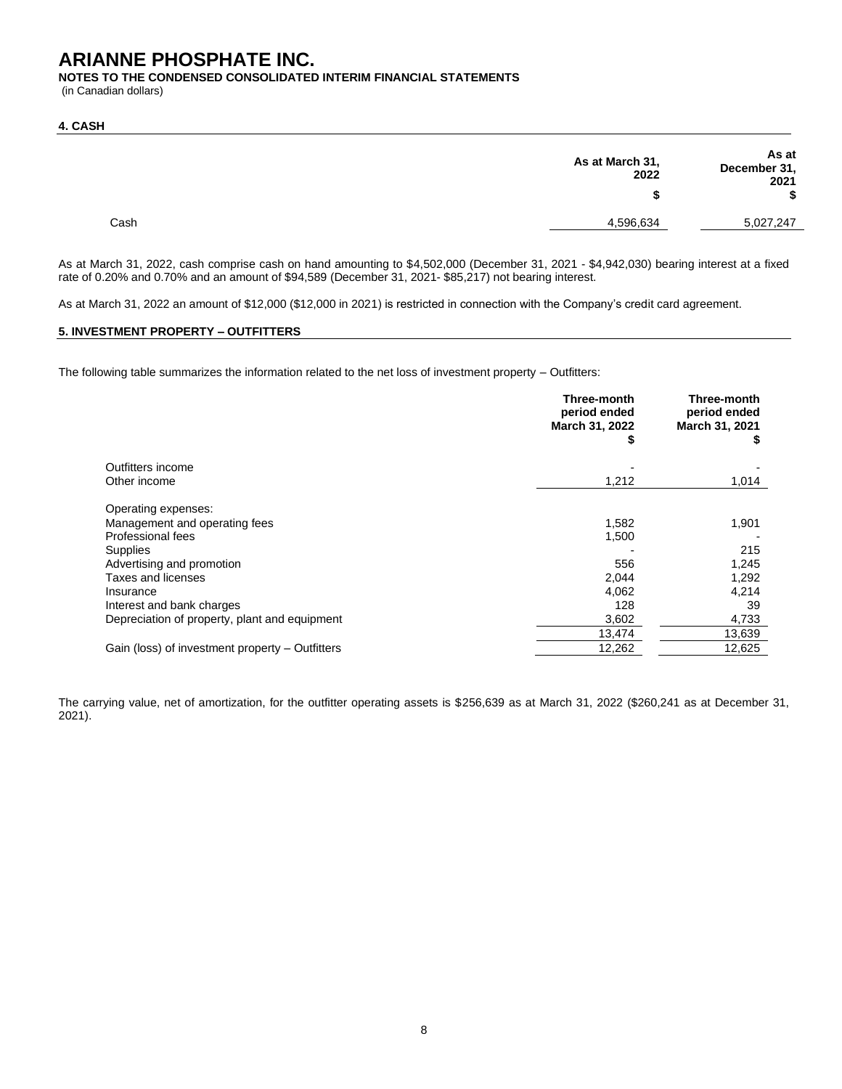**NOTES TO THE CONDENSED CONSOLIDATED INTERIM FINANCIAL STATEMENTS**

(in Canadian dollars)

#### **4. CASH**

| As at<br>December 31,<br>2021 | As at March 31,<br>2022 |      |
|-------------------------------|-------------------------|------|
|                               |                         |      |
| 5,027,247                     | 4,596,634               | Cash |

As at March 31, 2022, cash comprise cash on hand amounting to \$4,502,000 (December 31, 2021 - \$4,942,030) bearing interest at a fixed rate of 0.20% and 0.70% and an amount of \$94,589 (December 31, 2021- \$85,217) not bearing interest.

As at March 31, 2022 an amount of \$12,000 (\$12,000 in 2021) is restricted in connection with the Company's credit card agreement.

## **5. INVESTMENT PROPERTY – OUTFITTERS**

The following table summarizes the information related to the net loss of investment property – Outfitters:

|                                                 | Three-month<br>period ended<br>March 31, 2022<br>P | Three-month<br>period ended<br>March 31, 2021<br>\$ |
|-------------------------------------------------|----------------------------------------------------|-----------------------------------------------------|
| Outfitters income                               |                                                    |                                                     |
| Other income                                    | 1,212                                              | 1,014                                               |
| Operating expenses:                             |                                                    |                                                     |
| Management and operating fees                   | 1,582                                              | 1,901                                               |
| Professional fees                               | 1,500                                              |                                                     |
| Supplies                                        |                                                    | 215                                                 |
| Advertising and promotion                       | 556                                                | 1,245                                               |
| <b>Taxes and licenses</b>                       | 2,044                                              | 1,292                                               |
| Insurance                                       | 4,062                                              | 4,214                                               |
| Interest and bank charges                       | 128                                                | 39                                                  |
| Depreciation of property, plant and equipment   | 3,602                                              | 4,733                                               |
|                                                 | 13,474                                             | 13,639                                              |
| Gain (loss) of investment property – Outfitters | 12,262                                             | 12,625                                              |

The carrying value, net of amortization, for the outfitter operating assets is \$256,639 as at March 31, 2022 (\$260,241 as at December 31, 2021).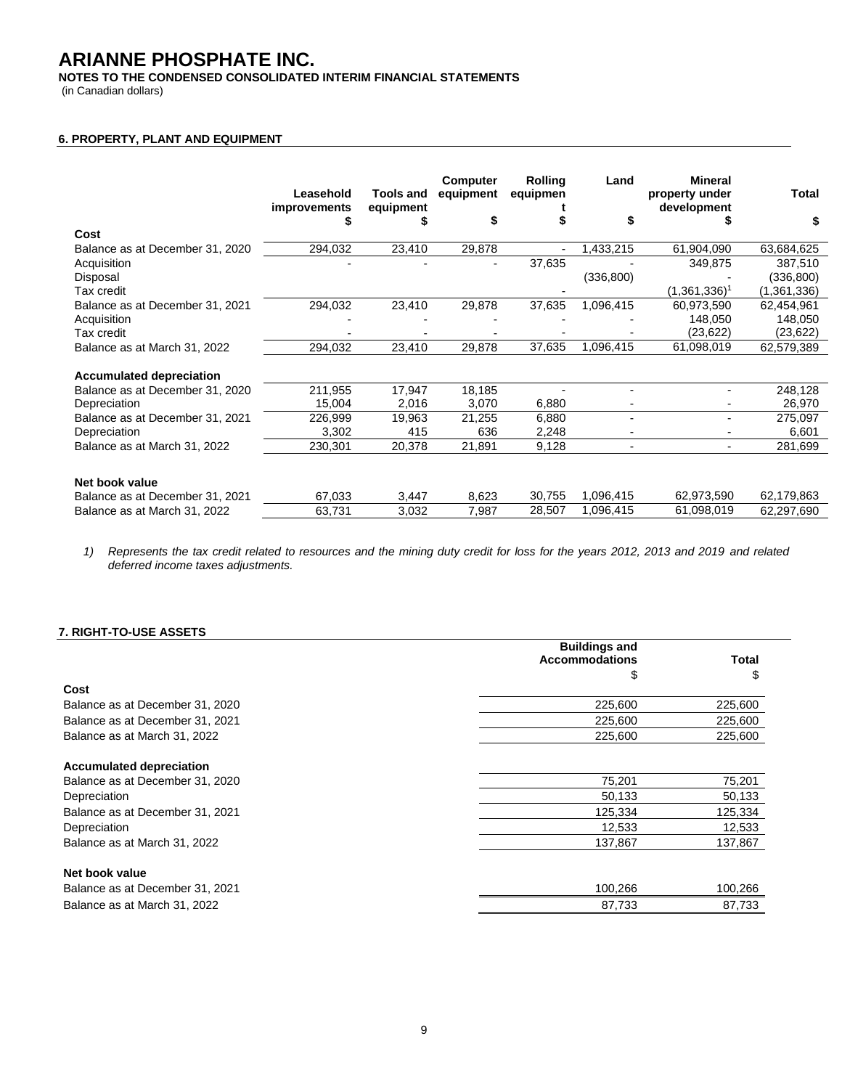**NOTES TO THE CONDENSED CONSOLIDATED INTERIM FINANCIAL STATEMENTS**

(in Canadian dollars)

## **6. PROPERTY, PLANT AND EQUIPMENT**

|                                 | Leasehold<br><i>improvements</i> | <b>Tools and</b><br>equipment | Computer<br>equipment | <b>Rolling</b><br>equipmen | Land                  | <b>Mineral</b><br>property under<br>development | Total       |
|---------------------------------|----------------------------------|-------------------------------|-----------------------|----------------------------|-----------------------|-------------------------------------------------|-------------|
|                                 | 5                                |                               |                       |                            |                       |                                                 | S           |
| Cost                            |                                  |                               |                       |                            |                       |                                                 |             |
| Balance as at December 31, 2020 | 294,032                          | 23,410                        | 29,878                |                            | 1,433,215             | 61,904,090                                      | 63,684,625  |
| Acquisition                     |                                  |                               |                       | 37,635                     |                       | 349,875                                         | 387,510     |
| Disposal                        |                                  |                               |                       |                            | (336, 800)            |                                                 | (336, 800)  |
| Tax credit                      |                                  |                               |                       |                            |                       | $(1,361,336)^{1}$                               | (1,361,336) |
| Balance as at December 31, 2021 | 294,032                          | 23,410                        | 29,878                | 37,635                     | 1,096,415             | 60,973,590                                      | 62,454,961  |
| Acquisition                     |                                  |                               |                       |                            |                       | 148,050                                         | 148,050     |
| Tax credit                      |                                  |                               |                       |                            |                       | (23, 622)                                       | (23,622)    |
| Balance as at March 31, 2022    | 294,032                          | 23,410                        | 29,878                | 37,635                     | $\frac{1}{1,096,415}$ | 61,098,019                                      | 62,579,389  |
|                                 |                                  |                               |                       |                            |                       |                                                 |             |
| <b>Accumulated depreciation</b> |                                  |                               |                       |                            |                       |                                                 |             |
| Balance as at December 31, 2020 | 211,955                          | 17,947                        | 18,185                |                            |                       |                                                 | 248,128     |
| Depreciation                    | 15,004                           | 2,016                         | 3,070                 | 6,880                      |                       |                                                 | 26,970      |
| Balance as at December 31, 2021 | 226,999                          | 19,963                        | 21,255                | 6,880                      |                       |                                                 | 275,097     |
| Depreciation                    | 3,302                            | 415                           | 636                   | 2,248                      |                       |                                                 | 6,601       |
| Balance as at March 31, 2022    | 230,301                          | 20,378                        | 21,891                | 9,128                      |                       | $\overline{\phantom{0}}$                        | 281,699     |
|                                 |                                  |                               |                       |                            |                       |                                                 |             |
| Net book value                  |                                  |                               |                       |                            |                       |                                                 |             |
| Balance as at December 31, 2021 | 67,033                           | 3,447                         | 8,623                 | 30,755                     | 1,096,415             | 62,973,590                                      | 62,179,863  |
| Balance as at March 31, 2022    | 63,731                           | 3,032                         | 7,987                 | 28,507                     | 1,096,415             | 61,098,019                                      | 62,297,690  |

*1) Represents the tax credit related to resources and the mining duty credit for loss for the years 2012, 2013 and 2019 and related deferred income taxes adjustments.*

### **7. RIGHT-TO-USE ASSETS**

|                                 | <b>Buildings and</b>  |         |
|---------------------------------|-----------------------|---------|
|                                 | <b>Accommodations</b> | Total   |
|                                 | \$                    | \$      |
| Cost                            |                       |         |
| Balance as at December 31, 2020 | 225,600               | 225,600 |
| Balance as at December 31, 2021 | 225,600               | 225,600 |
| Balance as at March 31, 2022    | 225,600               | 225,600 |
| <b>Accumulated depreciation</b> |                       |         |
| Balance as at December 31, 2020 | 75,201                | 75,201  |
| Depreciation                    | 50,133                | 50,133  |
| Balance as at December 31, 2021 | 125,334               | 125,334 |
| Depreciation                    | 12,533                | 12,533  |
| Balance as at March 31, 2022    | 137,867               | 137,867 |
| Net book value                  |                       |         |
| Balance as at December 31, 2021 | 100,266               | 100,266 |
| Balance as at March 31, 2022    | 87,733                | 87,733  |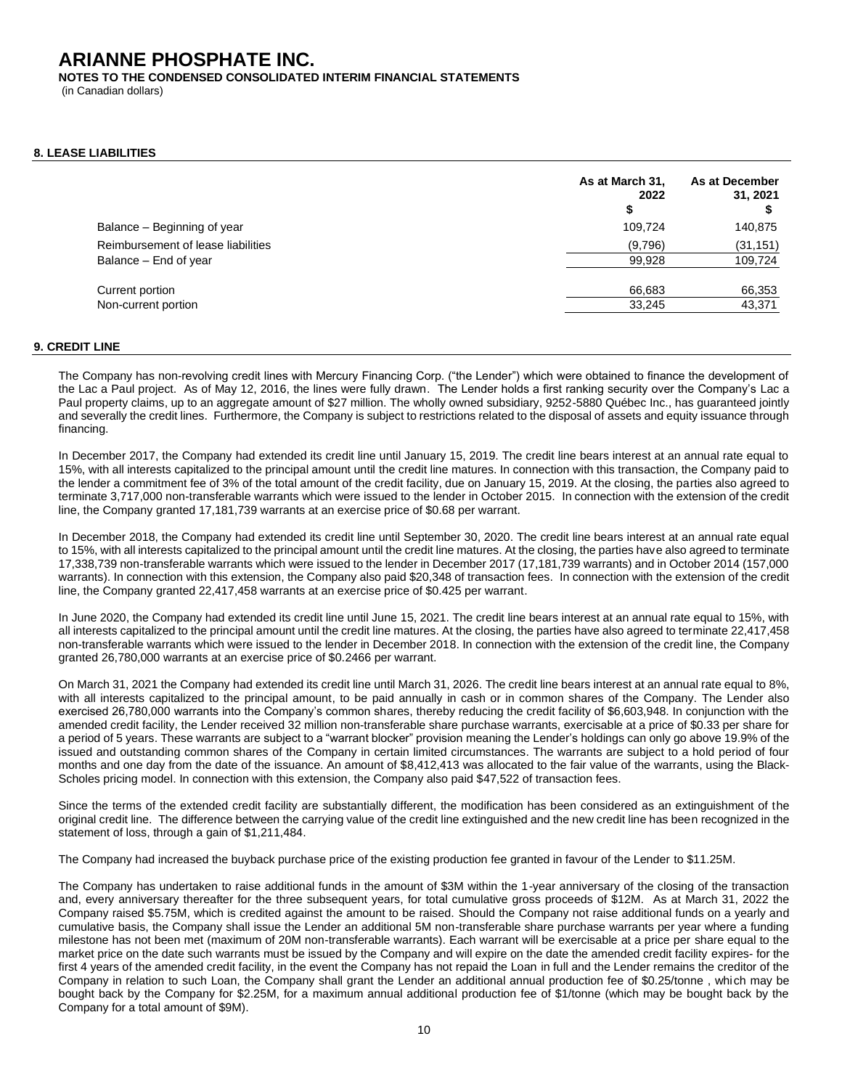**NOTES TO THE CONDENSED CONSOLIDATED INTERIM FINANCIAL STATEMENTS**

(in Canadian dollars)

### **8. LEASE LIABILITIES**

| 109.724 |           |
|---------|-----------|
|         | 140,875   |
| (9,796) | (31, 151) |
| 99,928  | 109,724   |
| 66,683  | 66,353    |
| 33,245  | 43,371    |
|         |           |

#### **9. CREDIT LINE**

The Company has non-revolving credit lines with Mercury Financing Corp. ("the Lender") which were obtained to finance the development of the Lac a Paul project. As of May 12, 2016, the lines were fully drawn. The Lender holds a first ranking security over the Company's Lac a Paul property claims, up to an aggregate amount of \$27 million. The wholly owned subsidiary, 9252-5880 Québec Inc., has guaranteed jointly and severally the credit lines. Furthermore, the Company is subject to restrictions related to the disposal of assets and equity issuance through financing.

In December 2017, the Company had extended its credit line until January 15, 2019. The credit line bears interest at an annual rate equal to 15%, with all interests capitalized to the principal amount until the credit line matures. In connection with this transaction, the Company paid to the lender a commitment fee of 3% of the total amount of the credit facility, due on January 15, 2019. At the closing, the parties also agreed to terminate 3,717,000 non-transferable warrants which were issued to the lender in October 2015. In connection with the extension of the credit line, the Company granted 17,181,739 warrants at an exercise price of \$0.68 per warrant.

In December 2018, the Company had extended its credit line until September 30, 2020. The credit line bears interest at an annual rate equal to 15%, with all interests capitalized to the principal amount until the credit line matures. At the closing, the parties have also agreed to terminate 17,338,739 non-transferable warrants which were issued to the lender in December 2017 (17,181,739 warrants) and in October 2014 (157,000 warrants). In connection with this extension, the Company also paid \$20,348 of transaction fees. In connection with the extension of the credit line, the Company granted 22,417,458 warrants at an exercise price of \$0.425 per warrant.

In June 2020, the Company had extended its credit line until June 15, 2021. The credit line bears interest at an annual rate equal to 15%, with all interests capitalized to the principal amount until the credit line matures. At the closing, the parties have also agreed to terminate 22,417,458 non-transferable warrants which were issued to the lender in December 2018. In connection with the extension of the credit line, the Company granted 26,780,000 warrants at an exercise price of \$0.2466 per warrant.

On March 31, 2021 the Company had extended its credit line until March 31, 2026. The credit line bears interest at an annual rate equal to 8%, with all interests capitalized to the principal amount, to be paid annually in cash or in common shares of the Company. The Lender also exercised 26,780,000 warrants into the Company's common shares, thereby reducing the credit facility of \$6,603,948. In conjunction with the amended credit facility, the Lender received 32 million non-transferable share purchase warrants, exercisable at a price of \$0.33 per share for a period of 5 years. These warrants are subject to a "warrant blocker" provision meaning the Lender's holdings can only go above 19.9% of the issued and outstanding common shares of the Company in certain limited circumstances. The warrants are subject to a hold period of four months and one day from the date of the issuance. An amount of \$8,412,413 was allocated to the fair value of the warrants, using the Black-Scholes pricing model. In connection with this extension, the Company also paid \$47,522 of transaction fees.

Since the terms of the extended credit facility are substantially different, the modification has been considered as an extinguishment of the original credit line. The difference between the carrying value of the credit line extinguished and the new credit line has been recognized in the statement of loss, through a gain of \$1,211,484.

The Company had increased the buyback purchase price of the existing production fee granted in favour of the Lender to \$11.25M.

The Company has undertaken to raise additional funds in the amount of \$3M within the 1-year anniversary of the closing of the transaction and, every anniversary thereafter for the three subsequent years, for total cumulative gross proceeds of \$12M. As at March 31, 2022 the Company raised \$5.75M, which is credited against the amount to be raised. Should the Company not raise additional funds on a yearly and cumulative basis, the Company shall issue the Lender an additional 5M non-transferable share purchase warrants per year where a funding milestone has not been met (maximum of 20M non-transferable warrants). Each warrant will be exercisable at a price per share equal to the market price on the date such warrants must be issued by the Company and will expire on the date the amended credit facility expires- for the first 4 years of the amended credit facility, in the event the Company has not repaid the Loan in full and the Lender remains the creditor of the Company in relation to such Loan, the Company shall grant the Lender an additional annual production fee of \$0.25/tonne , which may be bought back by the Company for \$2.25M, for a maximum annual additional production fee of \$1/tonne (which may be bought back by the Company for a total amount of \$9M).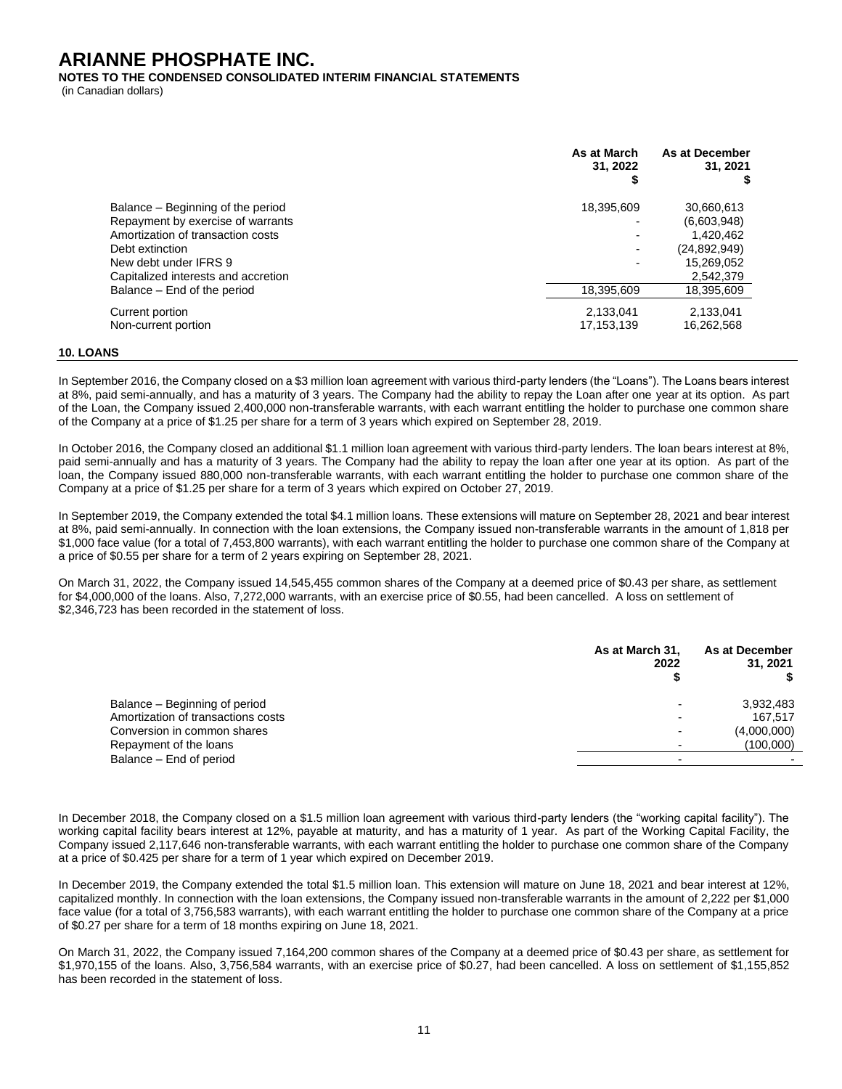**NOTES TO THE CONDENSED CONSOLIDATED INTERIM FINANCIAL STATEMENTS**

(in Canadian dollars)

|                                     | As at March<br>31.2022<br>S | As at December<br>31.2021 |
|-------------------------------------|-----------------------------|---------------------------|
| Balance - Beginning of the period   | 18,395,609                  | 30,660,613                |
| Repayment by exercise of warrants   |                             | (6,603,948)               |
| Amortization of transaction costs   |                             | 1.420.462                 |
| Debt extinction                     |                             | (24, 892, 949)            |
| New debt under IFRS 9               |                             | 15,269,052                |
| Capitalized interests and accretion |                             | 2,542,379                 |
| Balance – End of the period         | 18,395,609                  | 18.395.609                |
| Current portion                     | 2,133,041                   | 2,133,041                 |
| Non-current portion                 | 17,153,139                  | 16,262,568                |
|                                     |                             |                           |

#### **10. LOANS**

In September 2016, the Company closed on a \$3 million loan agreement with various third-party lenders (the "Loans"). The Loans bears interest at 8%, paid semi-annually, and has a maturity of 3 years. The Company had the ability to repay the Loan after one year at its option. As part of the Loan, the Company issued 2,400,000 non-transferable warrants, with each warrant entitling the holder to purchase one common share of the Company at a price of \$1.25 per share for a term of 3 years which expired on September 28, 2019.

In October 2016, the Company closed an additional \$1.1 million loan agreement with various third-party lenders. The loan bears interest at 8%, paid semi-annually and has a maturity of 3 years. The Company had the ability to repay the loan after one year at its option. As part of the loan, the Company issued 880,000 non-transferable warrants, with each warrant entitling the holder to purchase one common share of the Company at a price of \$1.25 per share for a term of 3 years which expired on October 27, 2019.

In September 2019, the Company extended the total \$4.1 million loans. These extensions will mature on September 28, 2021 and bear interest at 8%, paid semi-annually. In connection with the loan extensions, the Company issued non-transferable warrants in the amount of 1,818 per \$1,000 face value (for a total of 7,453,800 warrants), with each warrant entitling the holder to purchase one common share of the Company at a price of \$0.55 per share for a term of 2 years expiring on September 28, 2021.

On March 31, 2022, the Company issued 14,545,455 common shares of the Company at a deemed price of \$0.43 per share, as settlement for \$4,000,000 of the loans. Also, 7,272,000 warrants, with an exercise price of \$0.55, had been cancelled. A loss on settlement of \$2,346,723 has been recorded in the statement of loss.

|                                    | As at March 31,<br>2022 | As at December<br>31, 2021 |
|------------------------------------|-------------------------|----------------------------|
| Balance - Beginning of period      |                         | 3,932,483                  |
| Amortization of transactions costs |                         | 167.517                    |
| Conversion in common shares        |                         | (4,000,000)                |
| Repayment of the loans             |                         | (100,000)                  |
| Balance - End of period            |                         |                            |
|                                    |                         |                            |

In December 2018, the Company closed on a \$1.5 million loan agreement with various third-party lenders (the "working capital facility"). The working capital facility bears interest at 12%, payable at maturity, and has a maturity of 1 year. As part of the Working Capital Facility, the Company issued 2,117,646 non-transferable warrants, with each warrant entitling the holder to purchase one common share of the Company at a price of \$0.425 per share for a term of 1 year which expired on December 2019.

In December 2019, the Company extended the total \$1.5 million loan. This extension will mature on June 18, 2021 and bear interest at 12%, capitalized monthly. In connection with the loan extensions, the Company issued non-transferable warrants in the amount of 2,222 per \$1,000 face value (for a total of 3,756,583 warrants), with each warrant entitling the holder to purchase one common share of the Company at a price of \$0.27 per share for a term of 18 months expiring on June 18, 2021.

On March 31, 2022, the Company issued 7,164,200 common shares of the Company at a deemed price of \$0.43 per share, as settlement for \$1,970,155 of the loans. Also, 3,756,584 warrants, with an exercise price of \$0.27, had been cancelled. A loss on settlement of \$1,155,852 has been recorded in the statement of loss.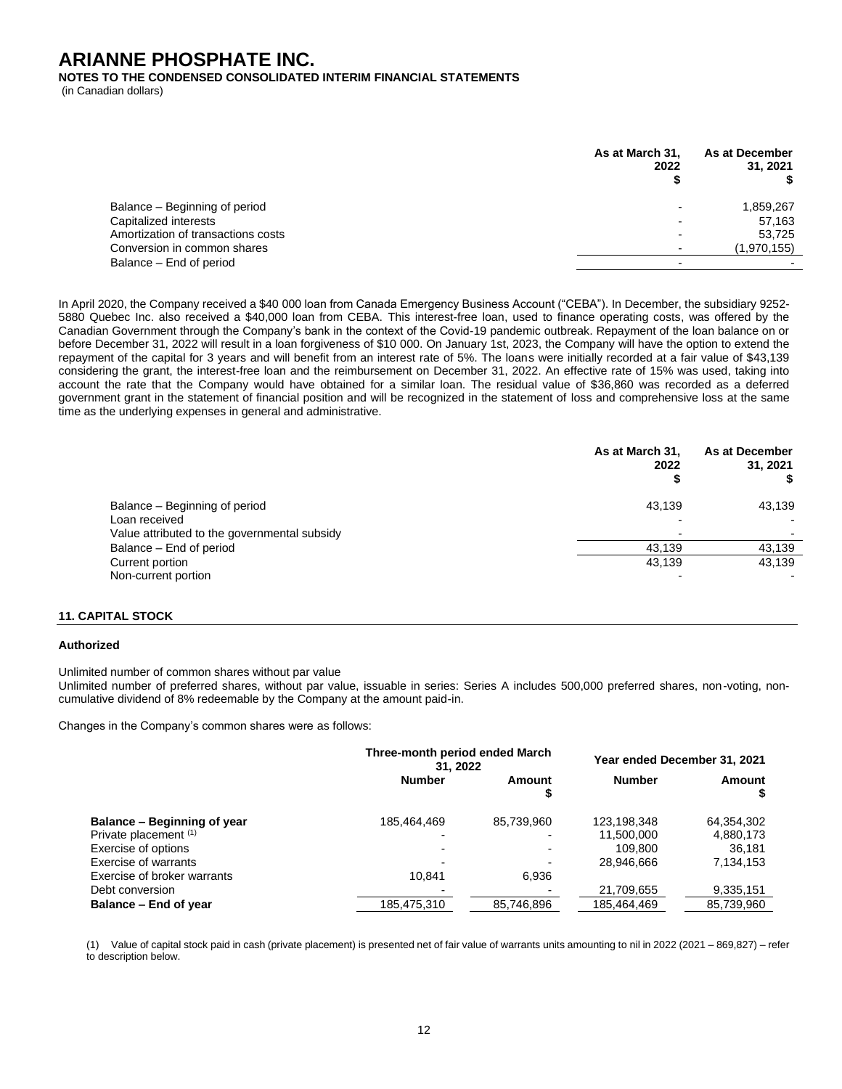**NOTES TO THE CONDENSED CONSOLIDATED INTERIM FINANCIAL STATEMENTS**

(in Canadian dollars)

|                                    | As at March 31.<br>2022 | As at December<br>31, 2021 |
|------------------------------------|-------------------------|----------------------------|
| Balance – Beginning of period      |                         | 1,859,267                  |
| Capitalized interests              |                         | 57,163                     |
| Amortization of transactions costs |                         | 53,725                     |
| Conversion in common shares        |                         | (1,970,155)                |
| Balance – End of period            |                         |                            |

In April 2020, the Company received a \$40 000 loan from Canada Emergency Business Account ("CEBA"). In December, the subsidiary 9252- 5880 Quebec Inc. also received a \$40,000 loan from CEBA. This interest-free loan, used to finance operating costs, was offered by the Canadian Government through the Company's bank in the context of the Covid-19 pandemic outbreak. Repayment of the loan balance on or before December 31, 2022 will result in a loan forgiveness of \$10 000. On January 1st, 2023, the Company will have the option to extend the repayment of the capital for 3 years and will benefit from an interest rate of 5%. The loans were initially recorded at a fair value of \$43,139 considering the grant, the interest-free loan and the reimbursement on December 31, 2022. An effective rate of 15% was used, taking into account the rate that the Company would have obtained for a similar loan. The residual value of \$36,860 was recorded as a deferred government grant in the statement of financial position and will be recognized in the statement of loss and comprehensive loss at the same time as the underlying expenses in general and administrative.

|                                              | As at March 31,<br>2022 | As at December<br>31, 2021 |
|----------------------------------------------|-------------------------|----------------------------|
| Balance – Beginning of period                | 43.139                  | 43,139                     |
| Loan received                                |                         |                            |
| Value attributed to the governmental subsidy |                         |                            |
| Balance – End of period                      | 43.139                  | 43.139                     |
| Current portion                              | 43.139                  | 43,139                     |
| Non-current portion                          |                         |                            |

### **11. CAPITAL STOCK**

#### **Authorized**

Unlimited number of common shares without par value

Unlimited number of preferred shares, without par value, issuable in series: Series A includes 500,000 preferred shares, non-voting, noncumulative dividend of 8% redeemable by the Company at the amount paid-in.

Changes in the Company's common shares were as follows:

|                             | Three-month period ended March<br>31.2022 |                          | Year ended December 31, 2021 |            |
|-----------------------------|-------------------------------------------|--------------------------|------------------------------|------------|
|                             | <b>Number</b>                             | Amount                   | <b>Number</b>                | Amount     |
| Balance – Beginning of year | 185,464,469                               | 85,739,960               | 123,198,348                  | 64,354,302 |
| Private placement (1)       |                                           |                          | 11,500,000                   | 4,880,173  |
| Exercise of options         |                                           | $\overline{\phantom{0}}$ | 109.800                      | 36.181     |
| Exercise of warrants        |                                           | $\blacksquare$           | 28.946.666                   | 7.134.153  |
| Exercise of broker warrants | 10.841                                    | 6,936                    |                              |            |
| Debt conversion             |                                           |                          | 21,709,655                   | 9,335,151  |
| Balance - End of year       | 185.475.310                               | 85.746.896               | 185,464,469                  | 85,739,960 |

(1) Value of capital stock paid in cash (private placement) is presented net of fair value of warrants units amounting to nil in 2022 (2021 – 869,827) – refer to description below.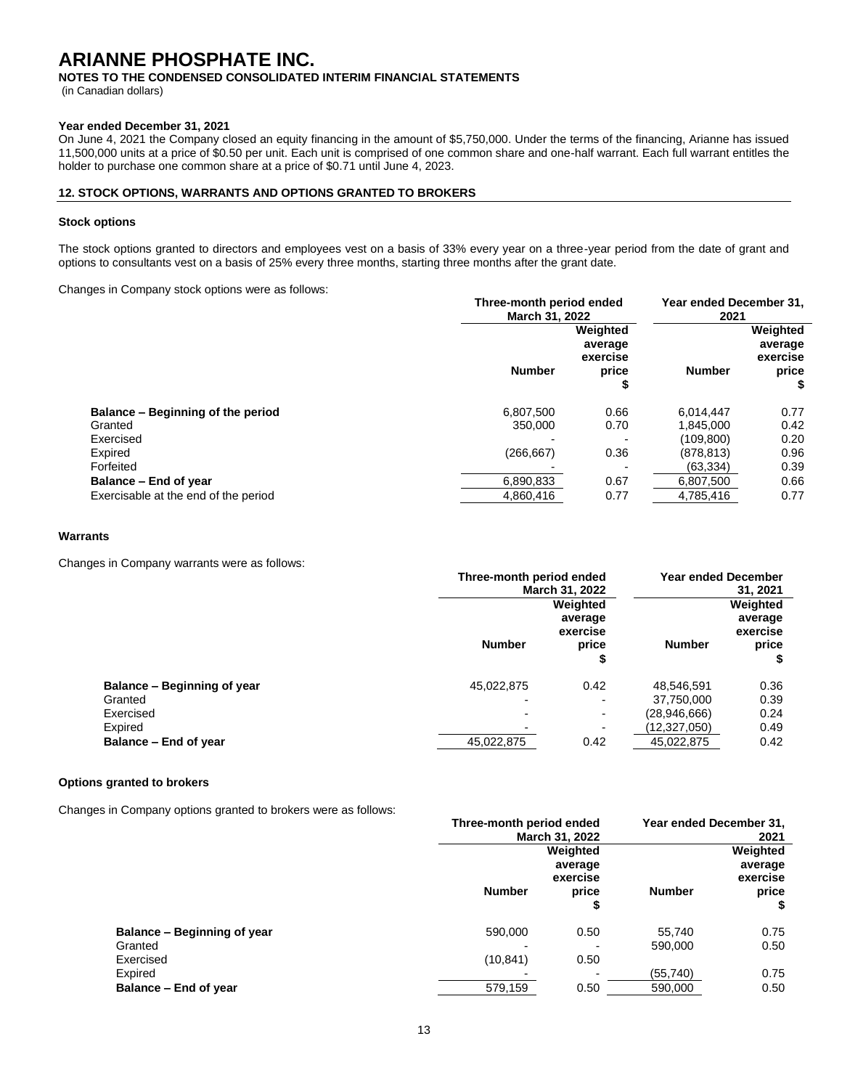**NOTES TO THE CONDENSED CONSOLIDATED INTERIM FINANCIAL STATEMENTS**

(in Canadian dollars)

#### **Year ended December 31, 2021**

On June 4, 2021 the Company closed an equity financing in the amount of \$5,750,000. Under the terms of the financing, Arianne has issued 11,500,000 units at a price of \$0.50 per unit. Each unit is comprised of one common share and one-half warrant. Each full warrant entitles the holder to purchase one common share at a price of \$0.71 until June 4, 2023.

#### **12. STOCK OPTIONS, WARRANTS AND OPTIONS GRANTED TO BROKERS**

#### **Stock options**

The stock options granted to directors and employees vest on a basis of 33% every year on a three-year period from the date of grant and options to consultants vest on a basis of 25% every three months, starting three months after the grant date.

Changes in Company stock options were as follows:

| Three-month period ended<br>March 31, 2022 |                                          | Year ended December 31,<br>2021 |                                          |
|--------------------------------------------|------------------------------------------|---------------------------------|------------------------------------------|
| <b>Number</b>                              | Weighted<br>average<br>exercise<br>price | <b>Number</b>                   | Weighted<br>average<br>exercise<br>price |
| 6.807.500                                  | 0.66                                     | 6.014.447                       | 0.77                                     |
| 350,000                                    | 0.70                                     | 1.845.000                       | 0.42                                     |
|                                            |                                          | (109.800)                       | 0.20                                     |
| (266, 667)                                 | 0.36                                     | (878.813)                       | 0.96                                     |
|                                            |                                          | (63, 334)                       | 0.39                                     |
| 6,890,833                                  | 0.67                                     | 6,807,500                       | 0.66                                     |
| 4.860.416                                  | 0.77                                     | 4.785.416                       | 0.77                                     |
|                                            |                                          |                                 |                                          |

### **Warrants**

Changes in Company warrants were as follows:

|                             | Three-month period ended<br><b>March 31, 2022</b> |                                               | <b>Year ended December</b><br>31, 2021 |                                          |
|-----------------------------|---------------------------------------------------|-----------------------------------------------|----------------------------------------|------------------------------------------|
|                             | <b>Number</b>                                     | Weighted<br>average<br>exercise<br>price<br>₽ | <b>Number</b>                          | Weighted<br>average<br>exercise<br>price |
| Balance – Beginning of year | 45,022,875                                        | 0.42                                          | 48,546,591                             | 0.36                                     |
| Granted                     |                                                   |                                               | 37,750,000                             | 0.39                                     |
| Exercised                   |                                                   | $\overline{\phantom{a}}$                      | (28,946,666)                           | 0.24                                     |
| Expired                     |                                                   |                                               | (12,327,050)                           | 0.49                                     |
| Balance – End of year       | 45,022,875                                        | 0.42                                          | 45,022,875                             | 0.42                                     |

#### **Options granted to brokers**

Changes in Company options granted to brokers were as follows:

|                                 |               | Three-month period ended<br>March 31, 2022    |                      | Year ended December 31,<br>2021                |  |
|---------------------------------|---------------|-----------------------------------------------|----------------------|------------------------------------------------|--|
|                                 | <b>Number</b> | Weighted<br>average<br>exercise<br>price<br>S | <b>Number</b>        | Weighted<br>average<br>exercise<br>price<br>\$ |  |
| Balance – Beginning of year     | 590,000       | 0.50                                          | 55,740               | 0.75<br>0.50                                   |  |
| Granted<br>Exercised<br>Expired | (10, 841)     | 0.50                                          | 590,000<br>(55, 740) | 0.75                                           |  |
| Balance - End of year           | 579,159       | 0.50                                          | 590,000              | 0.50                                           |  |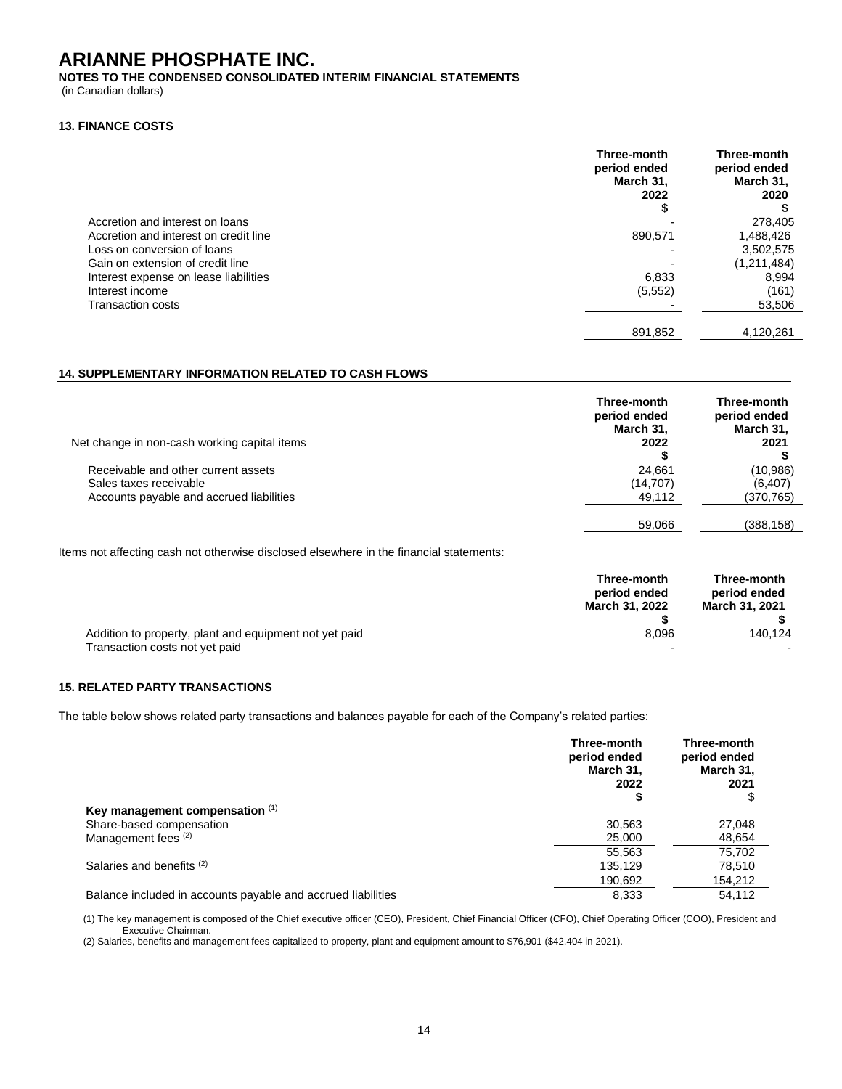**NOTES TO THE CONDENSED CONSOLIDATED INTERIM FINANCIAL STATEMENTS**

(in Canadian dollars)

#### **13. FINANCE COSTS**

|                                       | Three-month<br>period ended<br>March 31,<br>2022<br>ъ | Three-month<br>period ended<br>March 31,<br>2020 |
|---------------------------------------|-------------------------------------------------------|--------------------------------------------------|
| Accretion and interest on loans       |                                                       | 278,405                                          |
| Accretion and interest on credit line | 890,571                                               | 1,488,426                                        |
| Loss on conversion of loans           |                                                       | 3,502,575                                        |
| Gain on extension of credit line      |                                                       | (1,211,484)                                      |
| Interest expense on lease liabilities | 6,833                                                 | 8.994                                            |
| Interest income                       | (5, 552)                                              | (161)                                            |
| Transaction costs                     |                                                       | 53,506                                           |
|                                       | 891,852                                               | 4.120.261                                        |

### **14. SUPPLEMENTARY INFORMATION RELATED TO CASH FLOWS**

| Net change in non-cash working capital items                                                              | Three-month<br>period ended<br>March 31,<br>2022 | Three-month<br>period ended<br>March 31,<br>2021 |
|-----------------------------------------------------------------------------------------------------------|--------------------------------------------------|--------------------------------------------------|
| Receivable and other current assets<br>Sales taxes receivable<br>Accounts payable and accrued liabilities | 24.661<br>(14, 707)<br>49,112                    | (10,986)<br>(6, 407)<br>(370, 765)               |
|                                                                                                           | 59,066                                           | (388,158)                                        |

Items not affecting cash not otherwise disclosed elsewhere in the financial statements:

|                                                        | Three-month<br>period ended<br>March 31, 2022 | Three-month<br>period ended<br>March 31, 2021 |
|--------------------------------------------------------|-----------------------------------------------|-----------------------------------------------|
| Addition to property, plant and equipment not yet paid | 8.096                                         | 140.124                                       |
| Transaction costs not yet paid                         | $\overline{\phantom{a}}$                      | $\sim$                                        |

## **15. RELATED PARTY TRANSACTIONS**

The table below shows related party transactions and balances payable for each of the Company's related parties:

|                                                              | Three-month<br>period ended<br>March 31,<br>2022 | Three-month<br>period ended<br>March 31,<br>2021<br>S, |
|--------------------------------------------------------------|--------------------------------------------------|--------------------------------------------------------|
| Key management compensation (1)                              | \$                                               |                                                        |
| Share-based compensation                                     | 30.563                                           | 27,048                                                 |
| Management fees (2)                                          | 25,000                                           | 48,654                                                 |
|                                                              | 55.563                                           | 75.702                                                 |
| Salaries and benefits (2)                                    | 135.129                                          | 78,510                                                 |
|                                                              | 190.692                                          | 154,212                                                |
| Balance included in accounts payable and accrued liabilities | 8,333                                            | 54.112                                                 |

(1) The key management is composed of the Chief executive officer (CEO), President, Chief Financial Officer (CFO), Chief Operating Officer (COO), President and Executive Chairman.

(2) Salaries, benefits and management fees capitalized to property, plant and equipment amount to \$76,901 (\$42,404 in 2021).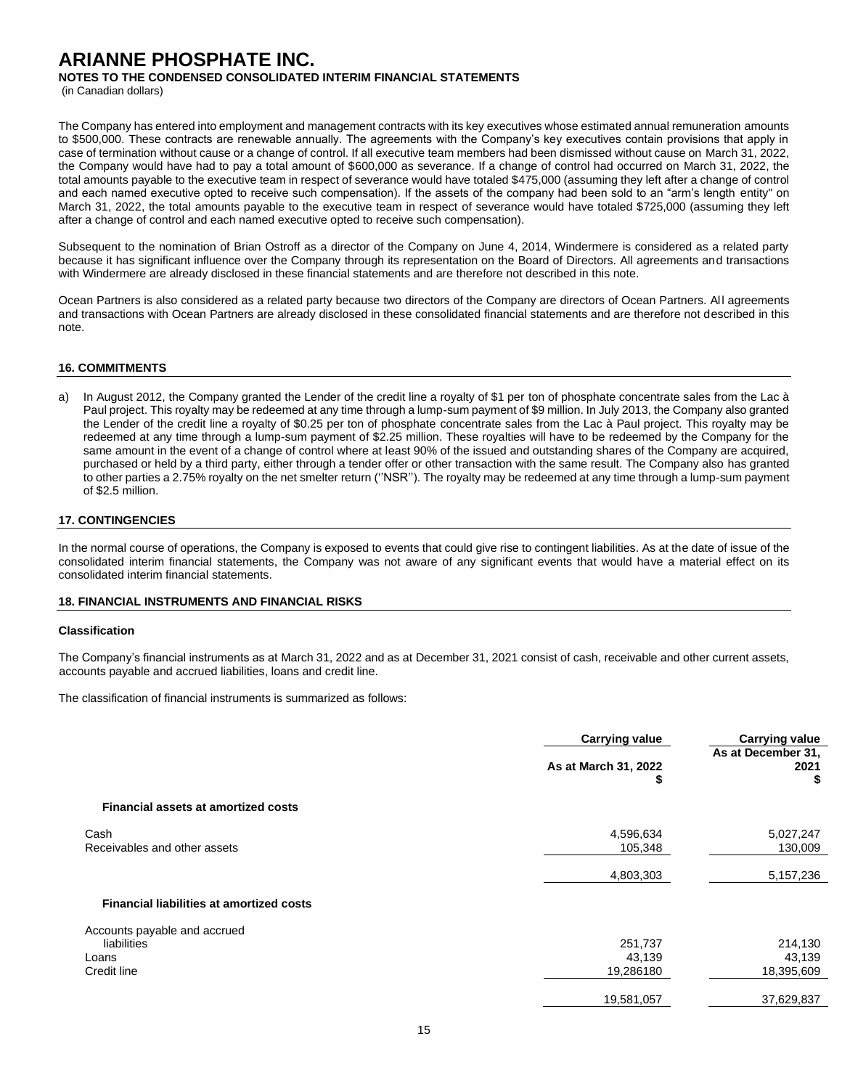**NOTES TO THE CONDENSED CONSOLIDATED INTERIM FINANCIAL STATEMENTS**

(in Canadian dollars)

The Company has entered into employment and management contracts with its key executives whose estimated annual remuneration amounts to \$500,000. These contracts are renewable annually. The agreements with the Company's key executives contain provisions that apply in case of termination without cause or a change of control. If all executive team members had been dismissed without cause on March 31, 2022, the Company would have had to pay a total amount of \$600,000 as severance. If a change of control had occurred on March 31, 2022, the total amounts payable to the executive team in respect of severance would have totaled \$475,000 (assuming they left after a change of control and each named executive opted to receive such compensation). If the assets of the company had been sold to an "arm's length entity" on March 31, 2022, the total amounts payable to the executive team in respect of severance would have totaled \$725,000 (assuming they left after a change of control and each named executive opted to receive such compensation).

Subsequent to the nomination of Brian Ostroff as a director of the Company on June 4, 2014, Windermere is considered as a related party because it has significant influence over the Company through its representation on the Board of Directors. All agreements and transactions with Windermere are already disclosed in these financial statements and are therefore not described in this note.

Ocean Partners is also considered as a related party because two directors of the Company are directors of Ocean Partners. All agreements and transactions with Ocean Partners are already disclosed in these consolidated financial statements and are therefore not described in this note.

### **16. COMMITMENTS**

a) In August 2012, the Company granted the Lender of the credit line a royalty of \$1 per ton of phosphate concentrate sales from the Lac à Paul project. This royalty may be redeemed at any time through a lump-sum payment of \$9 million. In July 2013, the Company also granted the Lender of the credit line a royalty of \$0.25 per ton of phosphate concentrate sales from the Lac à Paul project. This royalty may be redeemed at any time through a lump-sum payment of \$2.25 million. These royalties will have to be redeemed by the Company for the same amount in the event of a change of control where at least 90% of the issued and outstanding shares of the Company are acquired, purchased or held by a third party, either through a tender offer or other transaction with the same result. The Company also has granted to other parties a 2.75% royalty on the net smelter return (''NSR''). The royalty may be redeemed at any time through a lump-sum payment of \$2.5 million.

### **17. CONTINGENCIES**

In the normal course of operations, the Company is exposed to events that could give rise to contingent liabilities. As at the date of issue of the consolidated interim financial statements, the Company was not aware of any significant events that would have a material effect on its consolidated interim financial statements.

#### **18. FINANCIAL INSTRUMENTS AND FINANCIAL RISKS**

#### **Classification**

The Company's financial instruments as at March 31, 2022 and as at December 31, 2021 consist of cash, receivable and other current assets, accounts payable and accrued liabilities, loans and credit line.

The classification of financial instruments is summarized as follows:

| <b>Carrying value</b>                        | <b>Carrying value</b>                         |
|----------------------------------------------|-----------------------------------------------|
| As at March 31, 2022<br>\$                   | As at December 31,<br>2021<br>S               |
|                                              |                                               |
| 4,596,634<br>105,348                         | 5,027,247<br>130,009                          |
| 4,803,303                                    | 5,157,236                                     |
|                                              |                                               |
| 251,737<br>43,139<br>19,286180<br>19,581,057 | 214,130<br>43,139<br>18,395,609<br>37,629,837 |
|                                              |                                               |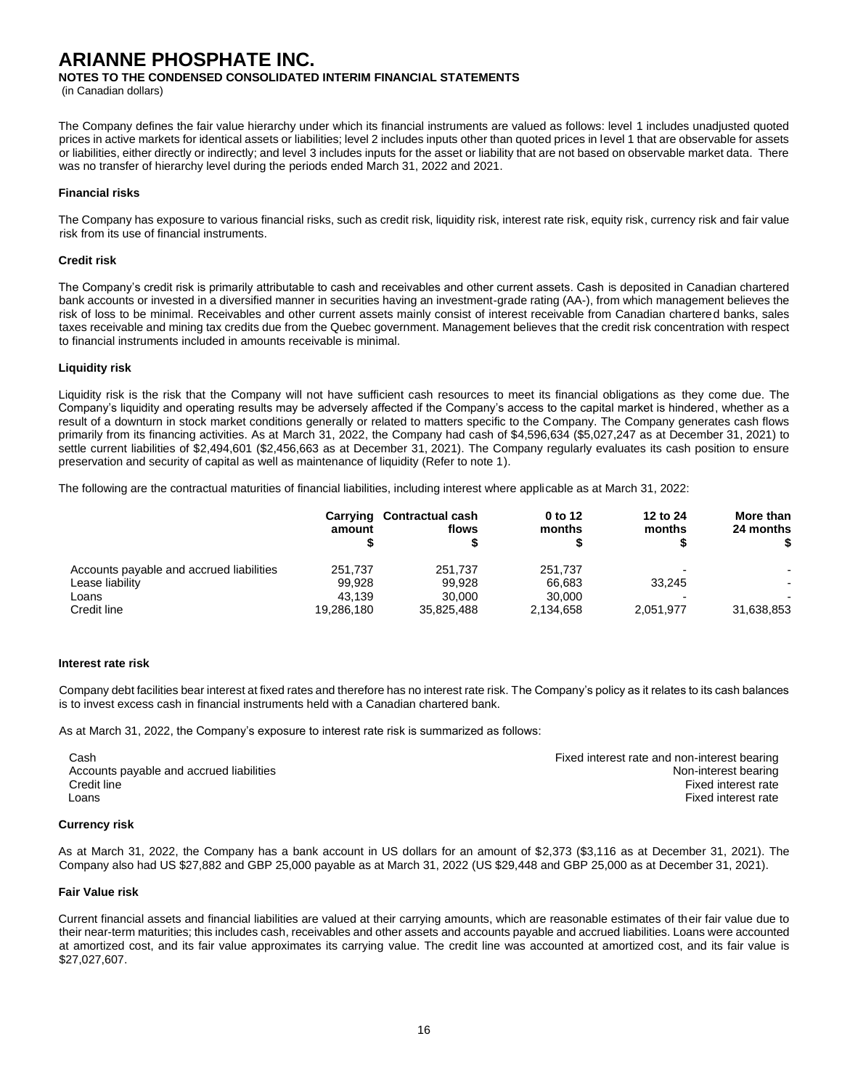**NOTES TO THE CONDENSED CONSOLIDATED INTERIM FINANCIAL STATEMENTS**

(in Canadian dollars)

The Company defines the fair value hierarchy under which its financial instruments are valued as follows: level 1 includes unadjusted quoted prices in active markets for identical assets or liabilities; level 2 includes inputs other than quoted prices in level 1 that are observable for assets or liabilities, either directly or indirectly; and level 3 includes inputs for the asset or liability that are not based on observable market data. There was no transfer of hierarchy level during the periods ended March 31, 2022 and 2021.

#### **Financial risks**

The Company has exposure to various financial risks, such as credit risk, liquidity risk, interest rate risk, equity risk, currency risk and fair value risk from its use of financial instruments.

#### **Credit risk**

The Company's credit risk is primarily attributable to cash and receivables and other current assets. Cash is deposited in Canadian chartered bank accounts or invested in a diversified manner in securities having an investment-grade rating (AA-), from which management believes the risk of loss to be minimal. Receivables and other current assets mainly consist of interest receivable from Canadian chartered banks, sales taxes receivable and mining tax credits due from the Quebec government. Management believes that the credit risk concentration with respect to financial instruments included in amounts receivable is minimal.

#### **Liquidity risk**

Liquidity risk is the risk that the Company will not have sufficient cash resources to meet its financial obligations as they come due. The Company's liquidity and operating results may be adversely affected if the Company's access to the capital market is hindered, whether as a result of a downturn in stock market conditions generally or related to matters specific to the Company. The Company generates cash flows primarily from its financing activities. As at March 31, 2022, the Company had cash of \$4,596,634 (\$5,027,247 as at December 31, 2021) to settle current liabilities of \$2,494,601 (\$2,456,663 as at December 31, 2021). The Company regularly evaluates its cash position to ensure preservation and security of capital as well as maintenance of liquidity (Refer to note 1).

The following are the contractual maturities of financial liabilities, including interest where applicable as at March 31, 2022:

|                                          | amount     | Carrying Contractual cash<br>flows | 0 to 12<br>months | 12 to 24<br>months | More than<br>24 months   |
|------------------------------------------|------------|------------------------------------|-------------------|--------------------|--------------------------|
| Accounts payable and accrued liabilities | 251.737    | 251.737                            | 251.737           |                    | $\overline{\phantom{a}}$ |
| Lease liability                          | 99.928     | 99.928                             | 66.683            | 33.245             |                          |
| Loans                                    | 43.139     | 30,000                             | 30,000            |                    | $\overline{\phantom{0}}$ |
| Credit line                              | 19,286,180 | 35.825.488                         | 2,134,658         | 2,051,977          | 31,638,853               |

#### **Interest rate risk**

Company debt facilities bear interest at fixed rates and therefore has no interest rate risk. The Company's policy as it relates to its cash balances is to invest excess cash in financial instruments held with a Canadian chartered bank.

As at March 31, 2022, the Company's exposure to interest rate risk is summarized as follows:

| Cash                                     | Fixed interest rate and non-interest bearing |
|------------------------------------------|----------------------------------------------|
| Accounts payable and accrued liabilities | Non-interest bearing                         |
| Credit line                              | Fixed interest rate                          |
| Loans                                    | Fixed interest rate                          |

#### **Currency risk**

As at March 31, 2022, the Company has a bank account in US dollars for an amount of \$2,373 (\$3,116 as at December 31, 2021). The Company also had US \$27,882 and GBP 25,000 payable as at March 31, 2022 (US \$29,448 and GBP 25,000 as at December 31, 2021).

#### **Fair Value risk**

Current financial assets and financial liabilities are valued at their carrying amounts, which are reasonable estimates of their fair value due to their near-term maturities; this includes cash, receivables and other assets and accounts payable and accrued liabilities. Loans were accounted at amortized cost, and its fair value approximates its carrying value. The credit line was accounted at amortized cost, and its fair value is \$27,027,607.